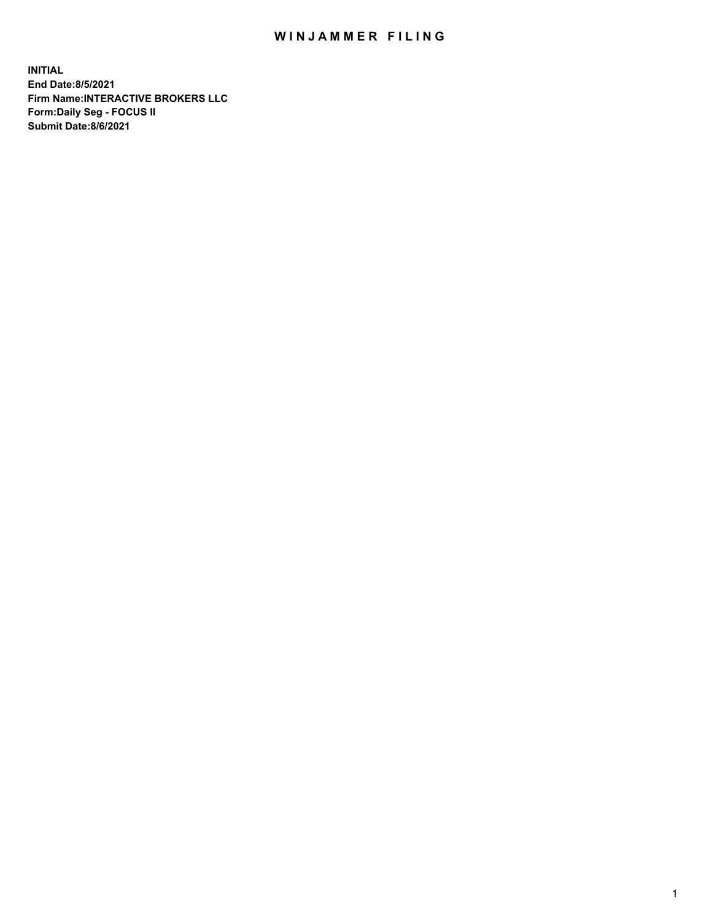## WIN JAMMER FILING

**INITIAL End Date:8/5/2021 Firm Name:INTERACTIVE BROKERS LLC Form:Daily Seg - FOCUS II Submit Date:8/6/2021**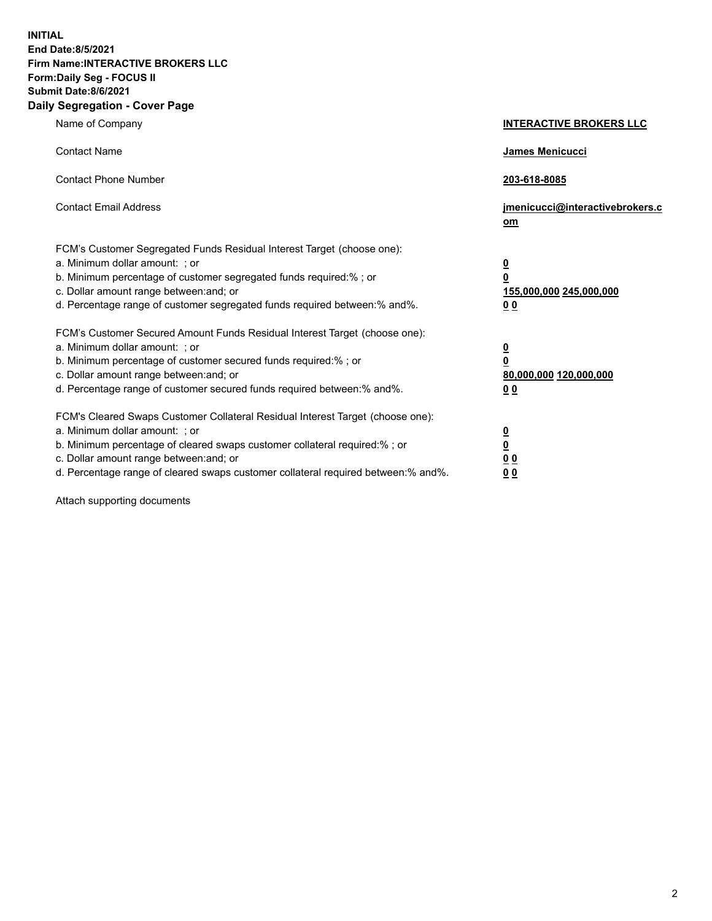**INITIAL End Date:8/5/2021 Firm Name:INTERACTIVE BROKERS LLC Form:Daily Seg - FOCUS II Submit Date:8/6/2021 Daily Segregation - Cover Page**

| Name of Company                                                                                                                                                                                                                                                                                                                | <b>INTERACTIVE BROKERS LLC</b>                                                                  |
|--------------------------------------------------------------------------------------------------------------------------------------------------------------------------------------------------------------------------------------------------------------------------------------------------------------------------------|-------------------------------------------------------------------------------------------------|
| <b>Contact Name</b>                                                                                                                                                                                                                                                                                                            | <b>James Menicucci</b>                                                                          |
| <b>Contact Phone Number</b>                                                                                                                                                                                                                                                                                                    | 203-618-8085                                                                                    |
| <b>Contact Email Address</b>                                                                                                                                                                                                                                                                                                   | jmenicucci@interactivebrokers.c<br>om                                                           |
| FCM's Customer Segregated Funds Residual Interest Target (choose one):<br>a. Minimum dollar amount: ; or<br>b. Minimum percentage of customer segregated funds required:%; or<br>c. Dollar amount range between: and; or<br>d. Percentage range of customer segregated funds required between:% and%.                          | $\overline{\mathbf{0}}$<br>$\overline{\mathbf{0}}$<br>155,000,000 245,000,000<br>0 <sub>0</sub> |
| FCM's Customer Secured Amount Funds Residual Interest Target (choose one):<br>a. Minimum dollar amount: ; or<br>b. Minimum percentage of customer secured funds required:%; or<br>c. Dollar amount range between: and; or<br>d. Percentage range of customer secured funds required between:% and%.                            | $\overline{\mathbf{0}}$<br>$\overline{\mathbf{0}}$<br>80,000,000 120,000,000<br>0 <sub>0</sub>  |
| FCM's Cleared Swaps Customer Collateral Residual Interest Target (choose one):<br>a. Minimum dollar amount: ; or<br>b. Minimum percentage of cleared swaps customer collateral required:% ; or<br>c. Dollar amount range between: and; or<br>d. Percentage range of cleared swaps customer collateral required between:% and%. | $\overline{\mathbf{0}}$<br>$\overline{\mathbf{0}}$<br>0 <sub>0</sub><br>0 <sub>0</sub>          |

Attach supporting documents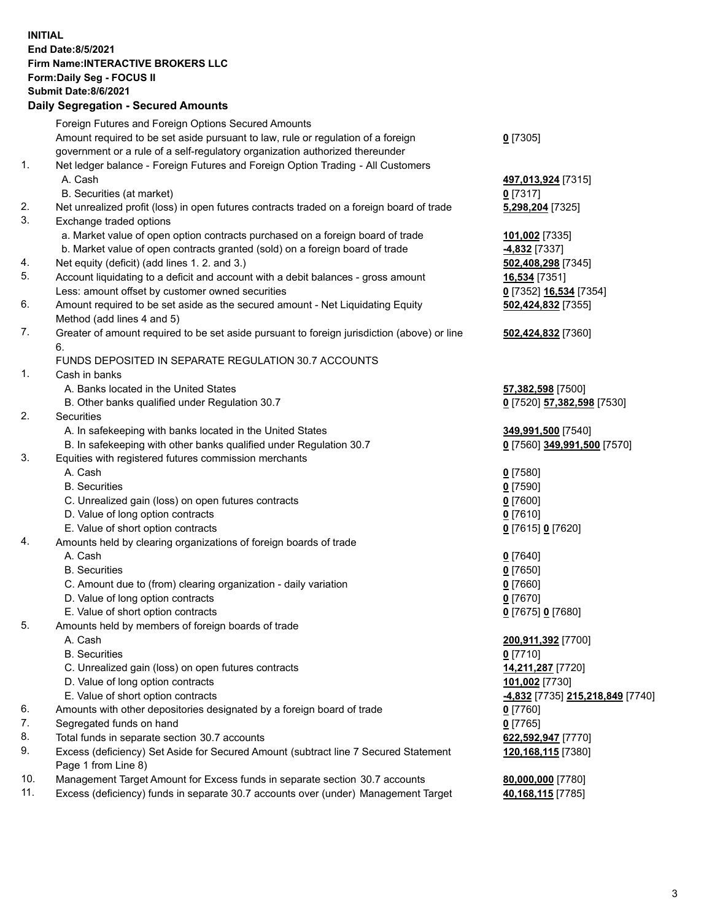## **INITIAL End Date:8/5/2021 Firm Name:INTERACTIVE BROKERS LLC Form:Daily Seg - FOCUS II Submit Date:8/6/2021 Daily Segregation - Secured Amounts**

|     | Pany Ocgregation - Oceanca Anioanic                                                                        |                                 |
|-----|------------------------------------------------------------------------------------------------------------|---------------------------------|
|     | Foreign Futures and Foreign Options Secured Amounts                                                        |                                 |
|     | Amount required to be set aside pursuant to law, rule or regulation of a foreign                           | $0$ [7305]                      |
|     | government or a rule of a self-regulatory organization authorized thereunder                               |                                 |
| 1.  | Net ledger balance - Foreign Futures and Foreign Option Trading - All Customers                            |                                 |
|     | A. Cash                                                                                                    | 497,013,924 [7315]              |
|     | B. Securities (at market)                                                                                  | $0$ [7317]                      |
| 2.  | Net unrealized profit (loss) in open futures contracts traded on a foreign board of trade                  | 5,298,204 [7325]                |
| 3.  | Exchange traded options                                                                                    |                                 |
|     | a. Market value of open option contracts purchased on a foreign board of trade                             | 101,002 [7335]                  |
|     | b. Market value of open contracts granted (sold) on a foreign board of trade                               | 4,832 [7337]                    |
| 4.  | Net equity (deficit) (add lines 1. 2. and 3.)                                                              | 502,408,298 [7345]              |
| 5.  | Account liquidating to a deficit and account with a debit balances - gross amount                          | <b>16,534</b> [7351]            |
|     | Less: amount offset by customer owned securities                                                           | 0 [7352] 16,534 [7354]          |
| 6.  | Amount required to be set aside as the secured amount - Net Liquidating Equity                             | 502,424,832 [7355]              |
|     | Method (add lines 4 and 5)                                                                                 |                                 |
| 7.  | Greater of amount required to be set aside pursuant to foreign jurisdiction (above) or line<br>6.          | 502,424,832 [7360]              |
|     | FUNDS DEPOSITED IN SEPARATE REGULATION 30.7 ACCOUNTS                                                       |                                 |
| 1.  | Cash in banks                                                                                              |                                 |
|     | A. Banks located in the United States                                                                      | 57,382,598 [7500]               |
|     | B. Other banks qualified under Regulation 30.7                                                             | 0 [7520] 57,382,598 [7530]      |
| 2.  | Securities                                                                                                 |                                 |
|     | A. In safekeeping with banks located in the United States                                                  | 349,991,500 [7540]              |
|     | B. In safekeeping with other banks qualified under Regulation 30.7                                         | 0 [7560] 349,991,500 [7570]     |
| 3.  | Equities with registered futures commission merchants                                                      |                                 |
|     | A. Cash                                                                                                    | $0$ [7580]                      |
|     | <b>B.</b> Securities                                                                                       | $0$ [7590]                      |
|     | C. Unrealized gain (loss) on open futures contracts                                                        | $0$ [7600]                      |
|     | D. Value of long option contracts                                                                          | $0$ [7610]                      |
|     | E. Value of short option contracts                                                                         | 0 [7615] 0 [7620]               |
| 4.  | Amounts held by clearing organizations of foreign boards of trade                                          |                                 |
|     | A. Cash                                                                                                    | $Q$ [7640]                      |
|     | <b>B.</b> Securities                                                                                       | $0$ [7650]                      |
|     | C. Amount due to (from) clearing organization - daily variation                                            | $0$ [7660]                      |
|     | D. Value of long option contracts                                                                          | $0$ [7670]                      |
|     | E. Value of short option contracts                                                                         | 0 [7675] 0 [7680]               |
| 5.  | Amounts held by members of foreign boards of trade                                                         |                                 |
|     | A. Cash                                                                                                    | 200,911,392 [7700]              |
|     | <b>B.</b> Securities                                                                                       | $0$ [7710]                      |
|     | C. Unrealized gain (loss) on open futures contracts                                                        | 14,211,287 [7720]               |
|     | D. Value of long option contracts                                                                          | 101,002 [7730]                  |
|     | E. Value of short option contracts                                                                         | 4,832 [7735] 215,218,849 [7740] |
| 6.  | Amounts with other depositories designated by a foreign board of trade                                     | 0 [7760]                        |
| 7.  | Segregated funds on hand                                                                                   | $0$ [7765]                      |
| 8.  | Total funds in separate section 30.7 accounts                                                              | 622,592,947 [7770]              |
| 9.  | Excess (deficiency) Set Aside for Secured Amount (subtract line 7 Secured Statement<br>Page 1 from Line 8) | 120,168,115 [7380]              |
| 10. | Management Target Amount for Excess funds in separate section 30.7 accounts                                | 80,000,000 [7780]               |
| 11. | Excess (deficiency) funds in separate 30.7 accounts over (under) Management Target                         | 40,168,115 [7785]               |
|     |                                                                                                            |                                 |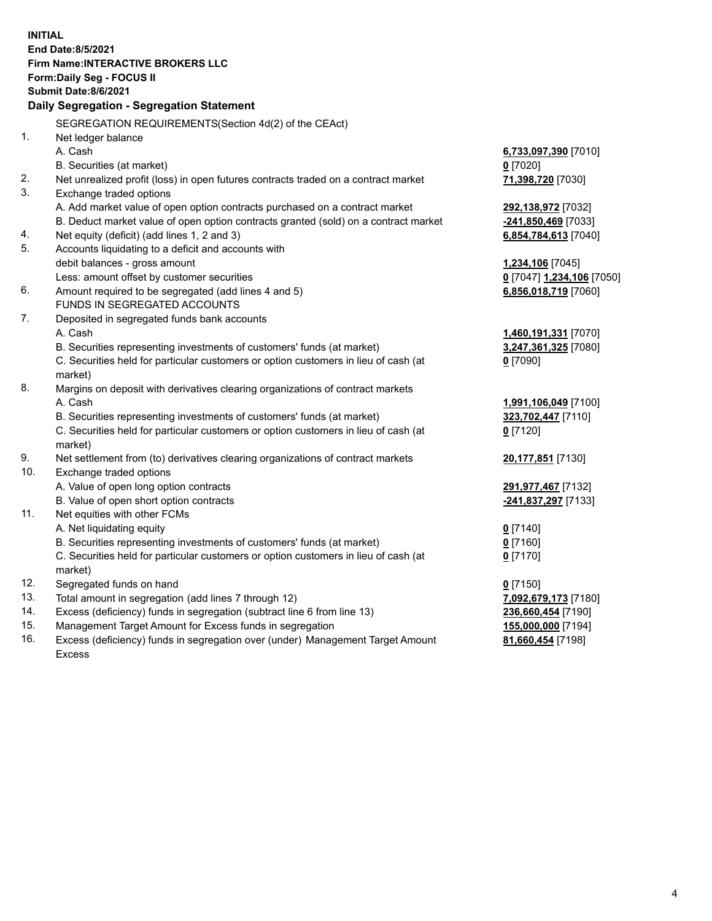**INITIAL End Date:8/5/2021 Firm Name:INTERACTIVE BROKERS LLC Form:Daily Seg - FOCUS II Submit Date:8/6/2021 Daily Segregation - Segregation Statement** SEGREGATION REQUIREMENTS(Section 4d(2) of the CEAct) 1. Net ledger balance A. Cash **6,733,097,390** [7010] B. Securities (at market) **0** [7020] 2. Net unrealized profit (loss) in open futures contracts traded on a contract market **71,398,720** [7030] 3. Exchange traded options A. Add market value of open option contracts purchased on a contract market **292,138,972** [7032] B. Deduct market value of open option contracts granted (sold) on a contract market **-241,850,469** [7033] 4. Net equity (deficit) (add lines 1, 2 and 3) **6,854,784,613** [7040] 5. Accounts liquidating to a deficit and accounts with debit balances - gross amount **1,234,106** [7045] Less: amount offset by customer securities **0** [7047] **1,234,106** [7050] 6. Amount required to be segregated (add lines 4 and 5) **6,856,018,719** [7060] FUNDS IN SEGREGATED ACCOUNTS 7. Deposited in segregated funds bank accounts A. Cash **1,460,191,331** [7070] B. Securities representing investments of customers' funds (at market) **3,247,361,325** [7080] C. Securities held for particular customers or option customers in lieu of cash (at market) **0** [7090] 8. Margins on deposit with derivatives clearing organizations of contract markets A. Cash **1,991,106,049** [7100] B. Securities representing investments of customers' funds (at market) **323,702,447** [7110] C. Securities held for particular customers or option customers in lieu of cash (at market) **0** [7120] 9. Net settlement from (to) derivatives clearing organizations of contract markets **20,177,851** [7130] 10. Exchange traded options A. Value of open long option contracts **291,977,467** [7132] B. Value of open short option contracts **-241,837,297** [7133] 11. Net equities with other FCMs A. Net liquidating equity **0** [7140] B. Securities representing investments of customers' funds (at market) **0** [7160] C. Securities held for particular customers or option customers in lieu of cash (at market) **0** [7170] 12. Segregated funds on hand **0** [7150] 13. Total amount in segregation (add lines 7 through 12) **7,092,679,173** [7180] 14. Excess (deficiency) funds in segregation (subtract line 6 from line 13) **236,660,454** [7190] 15. Management Target Amount for Excess funds in segregation **155,000,000** [7194] 16. Excess (deficiency) funds in segregation over (under) Management Target Amount **81,660,454** [7198]

Excess